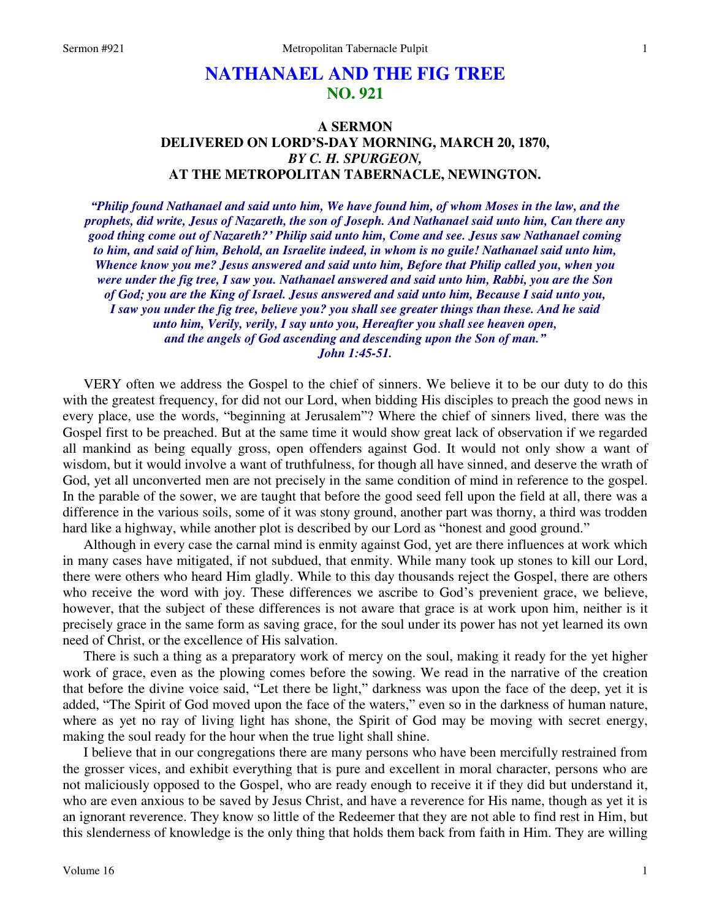# **NATHANAEL AND THE FIG TREE NO. 921**

# **A SERMON DELIVERED ON LORD'S-DAY MORNING, MARCH 20, 1870,**  *BY C. H. SPURGEON,*  **AT THE METROPOLITAN TABERNACLE, NEWINGTON.**

*"Philip found Nathanael and said unto him, We have found him, of whom Moses in the law, and the prophets, did write, Jesus of Nazareth, the son of Joseph. And Nathanael said unto him, Can there any good thing come out of Nazareth?' Philip said unto him, Come and see. Jesus saw Nathanael coming to him, and said of him, Behold, an Israelite indeed, in whom is no guile! Nathanael said unto him, Whence know you me? Jesus answered and said unto him, Before that Philip called you, when you were under the fig tree, I saw you. Nathanael answered and said unto him, Rabbi, you are the Son of God; you are the King of Israel. Jesus answered and said unto him, Because I said unto you, I saw you under the fig tree, believe you? you shall see greater things than these. And he said unto him, Verily, verily, I say unto you, Hereafter you shall see heaven open, and the angels of God ascending and descending upon the Son of man." John 1:45-51.* 

VERY often we address the Gospel to the chief of sinners. We believe it to be our duty to do this with the greatest frequency, for did not our Lord, when bidding His disciples to preach the good news in every place, use the words, "beginning at Jerusalem"? Where the chief of sinners lived, there was the Gospel first to be preached. But at the same time it would show great lack of observation if we regarded all mankind as being equally gross, open offenders against God. It would not only show a want of wisdom, but it would involve a want of truthfulness, for though all have sinned, and deserve the wrath of God, yet all unconverted men are not precisely in the same condition of mind in reference to the gospel. In the parable of the sower, we are taught that before the good seed fell upon the field at all, there was a difference in the various soils, some of it was stony ground, another part was thorny, a third was trodden hard like a highway, while another plot is described by our Lord as "honest and good ground."

Although in every case the carnal mind is enmity against God, yet are there influences at work which in many cases have mitigated, if not subdued, that enmity. While many took up stones to kill our Lord, there were others who heard Him gladly. While to this day thousands reject the Gospel, there are others who receive the word with joy. These differences we ascribe to God's prevenient grace, we believe, however, that the subject of these differences is not aware that grace is at work upon him, neither is it precisely grace in the same form as saving grace, for the soul under its power has not yet learned its own need of Christ, or the excellence of His salvation.

There is such a thing as a preparatory work of mercy on the soul, making it ready for the yet higher work of grace, even as the plowing comes before the sowing. We read in the narrative of the creation that before the divine voice said, "Let there be light," darkness was upon the face of the deep, yet it is added, "The Spirit of God moved upon the face of the waters," even so in the darkness of human nature, where as yet no ray of living light has shone, the Spirit of God may be moving with secret energy, making the soul ready for the hour when the true light shall shine.

I believe that in our congregations there are many persons who have been mercifully restrained from the grosser vices, and exhibit everything that is pure and excellent in moral character, persons who are not maliciously opposed to the Gospel, who are ready enough to receive it if they did but understand it, who are even anxious to be saved by Jesus Christ, and have a reverence for His name, though as yet it is an ignorant reverence. They know so little of the Redeemer that they are not able to find rest in Him, but this slenderness of knowledge is the only thing that holds them back from faith in Him. They are willing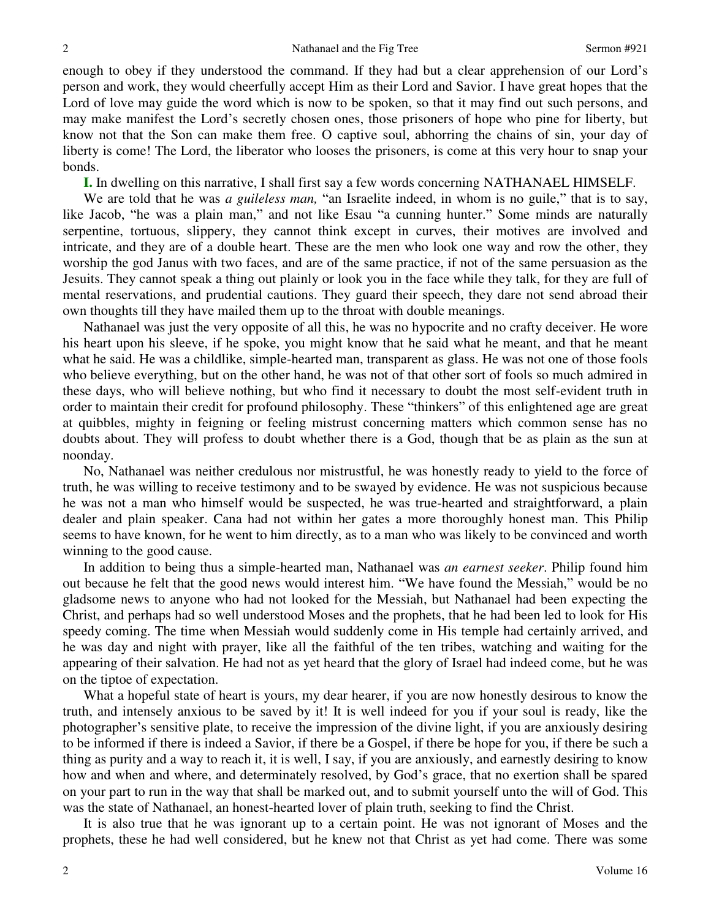enough to obey if they understood the command. If they had but a clear apprehension of our Lord's person and work, they would cheerfully accept Him as their Lord and Savior. I have great hopes that the Lord of love may guide the word which is now to be spoken, so that it may find out such persons, and may make manifest the Lord's secretly chosen ones, those prisoners of hope who pine for liberty, but know not that the Son can make them free. O captive soul, abhorring the chains of sin, your day of liberty is come! The Lord, the liberator who looses the prisoners, is come at this very hour to snap your bonds.

**I.** In dwelling on this narrative, I shall first say a few words concerning NATHANAEL HIMSELF.

We are told that he was *a guileless man,* "an Israelite indeed, in whom is no guile," that is to say, like Jacob, "he was a plain man," and not like Esau "a cunning hunter." Some minds are naturally serpentine, tortuous, slippery, they cannot think except in curves, their motives are involved and intricate, and they are of a double heart. These are the men who look one way and row the other, they worship the god Janus with two faces, and are of the same practice, if not of the same persuasion as the Jesuits. They cannot speak a thing out plainly or look you in the face while they talk, for they are full of mental reservations, and prudential cautions. They guard their speech, they dare not send abroad their own thoughts till they have mailed them up to the throat with double meanings.

Nathanael was just the very opposite of all this, he was no hypocrite and no crafty deceiver. He wore his heart upon his sleeve, if he spoke, you might know that he said what he meant, and that he meant what he said. He was a childlike, simple-hearted man, transparent as glass. He was not one of those fools who believe everything, but on the other hand, he was not of that other sort of fools so much admired in these days, who will believe nothing, but who find it necessary to doubt the most self-evident truth in order to maintain their credit for profound philosophy. These "thinkers" of this enlightened age are great at quibbles, mighty in feigning or feeling mistrust concerning matters which common sense has no doubts about. They will profess to doubt whether there is a God, though that be as plain as the sun at noonday.

No, Nathanael was neither credulous nor mistrustful, he was honestly ready to yield to the force of truth, he was willing to receive testimony and to be swayed by evidence. He was not suspicious because he was not a man who himself would be suspected, he was true-hearted and straightforward, a plain dealer and plain speaker. Cana had not within her gates a more thoroughly honest man. This Philip seems to have known, for he went to him directly, as to a man who was likely to be convinced and worth winning to the good cause.

In addition to being thus a simple-hearted man, Nathanael was *an earnest seeker*. Philip found him out because he felt that the good news would interest him. "We have found the Messiah," would be no gladsome news to anyone who had not looked for the Messiah, but Nathanael had been expecting the Christ, and perhaps had so well understood Moses and the prophets, that he had been led to look for His speedy coming. The time when Messiah would suddenly come in His temple had certainly arrived, and he was day and night with prayer, like all the faithful of the ten tribes, watching and waiting for the appearing of their salvation. He had not as yet heard that the glory of Israel had indeed come, but he was on the tiptoe of expectation.

What a hopeful state of heart is yours, my dear hearer, if you are now honestly desirous to know the truth, and intensely anxious to be saved by it! It is well indeed for you if your soul is ready, like the photographer's sensitive plate, to receive the impression of the divine light, if you are anxiously desiring to be informed if there is indeed a Savior, if there be a Gospel, if there be hope for you, if there be such a thing as purity and a way to reach it, it is well, I say, if you are anxiously, and earnestly desiring to know how and when and where, and determinately resolved, by God's grace, that no exertion shall be spared on your part to run in the way that shall be marked out, and to submit yourself unto the will of God. This was the state of Nathanael, an honest-hearted lover of plain truth, seeking to find the Christ.

It is also true that he was ignorant up to a certain point. He was not ignorant of Moses and the prophets, these he had well considered, but he knew not that Christ as yet had come. There was some

2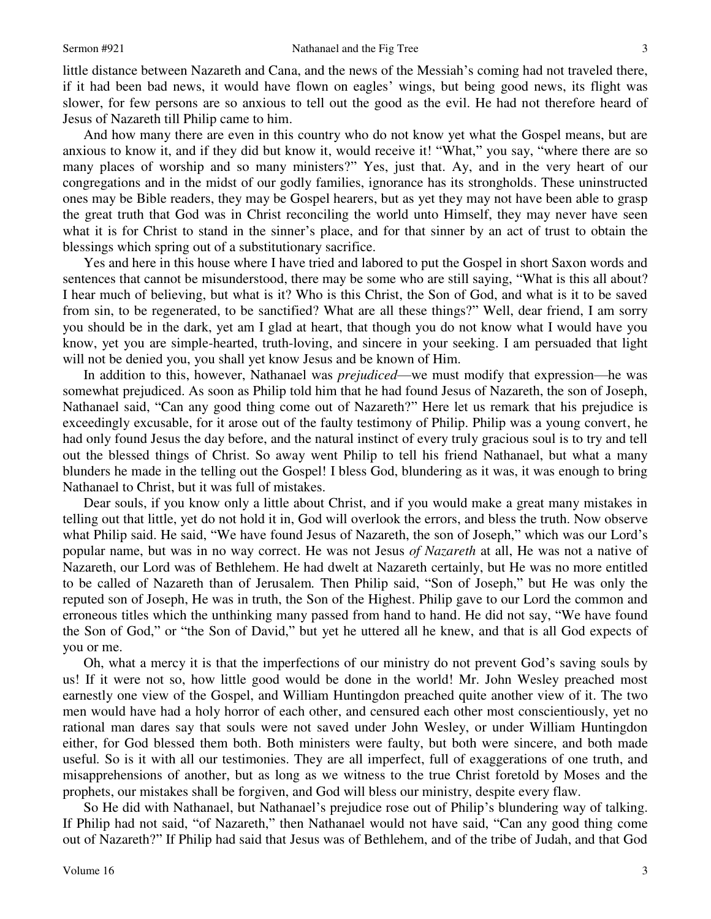little distance between Nazareth and Cana, and the news of the Messiah's coming had not traveled there, if it had been bad news, it would have flown on eagles' wings, but being good news, its flight was slower, for few persons are so anxious to tell out the good as the evil. He had not therefore heard of Jesus of Nazareth till Philip came to him.

And how many there are even in this country who do not know yet what the Gospel means, but are anxious to know it, and if they did but know it, would receive it! "What," you say, "where there are so many places of worship and so many ministers?" Yes, just that. Ay, and in the very heart of our congregations and in the midst of our godly families, ignorance has its strongholds. These uninstructed ones may be Bible readers, they may be Gospel hearers, but as yet they may not have been able to grasp the great truth that God was in Christ reconciling the world unto Himself, they may never have seen what it is for Christ to stand in the sinner's place, and for that sinner by an act of trust to obtain the blessings which spring out of a substitutionary sacrifice.

Yes and here in this house where I have tried and labored to put the Gospel in short Saxon words and sentences that cannot be misunderstood, there may be some who are still saying, "What is this all about? I hear much of believing, but what is it? Who is this Christ, the Son of God, and what is it to be saved from sin, to be regenerated, to be sanctified? What are all these things?" Well, dear friend, I am sorry you should be in the dark, yet am I glad at heart, that though you do not know what I would have you know, yet you are simple-hearted, truth-loving, and sincere in your seeking. I am persuaded that light will not be denied you, you shall yet know Jesus and be known of Him.

In addition to this, however, Nathanael was *prejudiced*—we must modify that expression—he was somewhat prejudiced. As soon as Philip told him that he had found Jesus of Nazareth, the son of Joseph, Nathanael said, "Can any good thing come out of Nazareth?" Here let us remark that his prejudice is exceedingly excusable, for it arose out of the faulty testimony of Philip. Philip was a young convert, he had only found Jesus the day before, and the natural instinct of every truly gracious soul is to try and tell out the blessed things of Christ. So away went Philip to tell his friend Nathanael, but what a many blunders he made in the telling out the Gospel! I bless God, blundering as it was, it was enough to bring Nathanael to Christ, but it was full of mistakes.

Dear souls, if you know only a little about Christ, and if you would make a great many mistakes in telling out that little, yet do not hold it in, God will overlook the errors, and bless the truth. Now observe what Philip said. He said, "We have found Jesus of Nazareth, the son of Joseph," which was our Lord's popular name, but was in no way correct. He was not Jesus *of Nazareth* at all, He was not a native of Nazareth, our Lord was of Bethlehem. He had dwelt at Nazareth certainly, but He was no more entitled to be called of Nazareth than of Jerusalem*.* Then Philip said, "Son of Joseph," but He was only the reputed son of Joseph, He was in truth, the Son of the Highest. Philip gave to our Lord the common and erroneous titles which the unthinking many passed from hand to hand. He did not say, "We have found the Son of God," or "the Son of David," but yet he uttered all he knew, and that is all God expects of you or me.

Oh, what a mercy it is that the imperfections of our ministry do not prevent God's saving souls by us! If it were not so, how little good would be done in the world! Mr. John Wesley preached most earnestly one view of the Gospel, and William Huntingdon preached quite another view of it. The two men would have had a holy horror of each other, and censured each other most conscientiously, yet no rational man dares say that souls were not saved under John Wesley, or under William Huntingdon either, for God blessed them both. Both ministers were faulty, but both were sincere, and both made useful*.* So is it with all our testimonies. They are all imperfect, full of exaggerations of one truth, and misapprehensions of another, but as long as we witness to the true Christ foretold by Moses and the prophets, our mistakes shall be forgiven, and God will bless our ministry, despite every flaw.

So He did with Nathanael, but Nathanael's prejudice rose out of Philip's blundering way of talking. If Philip had not said, "of Nazareth," then Nathanael would not have said, "Can any good thing come out of Nazareth?" If Philip had said that Jesus was of Bethlehem, and of the tribe of Judah, and that God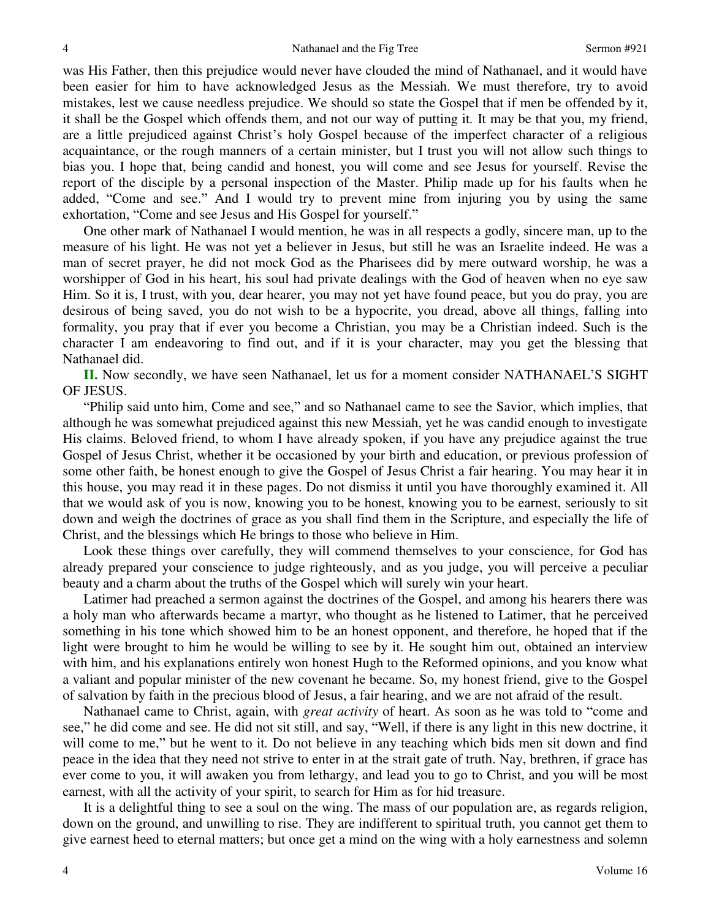was His Father, then this prejudice would never have clouded the mind of Nathanael, and it would have been easier for him to have acknowledged Jesus as the Messiah. We must therefore, try to avoid mistakes, lest we cause needless prejudice. We should so state the Gospel that if men be offended by it, it shall be the Gospel which offends them, and not our way of putting it*.* It may be that you, my friend, are a little prejudiced against Christ's holy Gospel because of the imperfect character of a religious acquaintance, or the rough manners of a certain minister, but I trust you will not allow such things to bias you. I hope that, being candid and honest, you will come and see Jesus for yourself. Revise the report of the disciple by a personal inspection of the Master. Philip made up for his faults when he added, "Come and see." And I would try to prevent mine from injuring you by using the same exhortation, "Come and see Jesus and His Gospel for yourself."

One other mark of Nathanael I would mention, he was in all respects a godly, sincere man, up to the measure of his light. He was not yet a believer in Jesus, but still he was an Israelite indeed. He was a man of secret prayer, he did not mock God as the Pharisees did by mere outward worship, he was a worshipper of God in his heart, his soul had private dealings with the God of heaven when no eye saw Him. So it is, I trust, with you, dear hearer, you may not yet have found peace, but you do pray, you are desirous of being saved, you do not wish to be a hypocrite, you dread, above all things, falling into formality, you pray that if ever you become a Christian, you may be a Christian indeed. Such is the character I am endeavoring to find out, and if it is your character, may you get the blessing that Nathanael did.

**II.** Now secondly, we have seen Nathanael, let us for a moment consider NATHANAEL'S SIGHT OF JESUS.

"Philip said unto him, Come and see," and so Nathanael came to see the Savior, which implies, that although he was somewhat prejudiced against this new Messiah, yet he was candid enough to investigate His claims. Beloved friend, to whom I have already spoken, if you have any prejudice against the true Gospel of Jesus Christ, whether it be occasioned by your birth and education, or previous profession of some other faith, be honest enough to give the Gospel of Jesus Christ a fair hearing. You may hear it in this house, you may read it in these pages. Do not dismiss it until you have thoroughly examined it. All that we would ask of you is now, knowing you to be honest, knowing you to be earnest, seriously to sit down and weigh the doctrines of grace as you shall find them in the Scripture, and especially the life of Christ, and the blessings which He brings to those who believe in Him.

Look these things over carefully, they will commend themselves to your conscience, for God has already prepared your conscience to judge righteously, and as you judge, you will perceive a peculiar beauty and a charm about the truths of the Gospel which will surely win your heart.

Latimer had preached a sermon against the doctrines of the Gospel, and among his hearers there was a holy man who afterwards became a martyr, who thought as he listened to Latimer, that he perceived something in his tone which showed him to be an honest opponent, and therefore, he hoped that if the light were brought to him he would be willing to see by it. He sought him out, obtained an interview with him, and his explanations entirely won honest Hugh to the Reformed opinions, and you know what a valiant and popular minister of the new covenant he became. So, my honest friend, give to the Gospel of salvation by faith in the precious blood of Jesus, a fair hearing, and we are not afraid of the result.

Nathanael came to Christ, again, with *great activity* of heart. As soon as he was told to "come and see," he did come and see. He did not sit still, and say, "Well, if there is any light in this new doctrine, it will come to me," but he went to it*.* Do not believe in any teaching which bids men sit down and find peace in the idea that they need not strive to enter in at the strait gate of truth. Nay, brethren, if grace has ever come to you, it will awaken you from lethargy, and lead you to go to Christ, and you will be most earnest, with all the activity of your spirit, to search for Him as for hid treasure.

It is a delightful thing to see a soul on the wing. The mass of our population are, as regards religion, down on the ground, and unwilling to rise. They are indifferent to spiritual truth, you cannot get them to give earnest heed to eternal matters; but once get a mind on the wing with a holy earnestness and solemn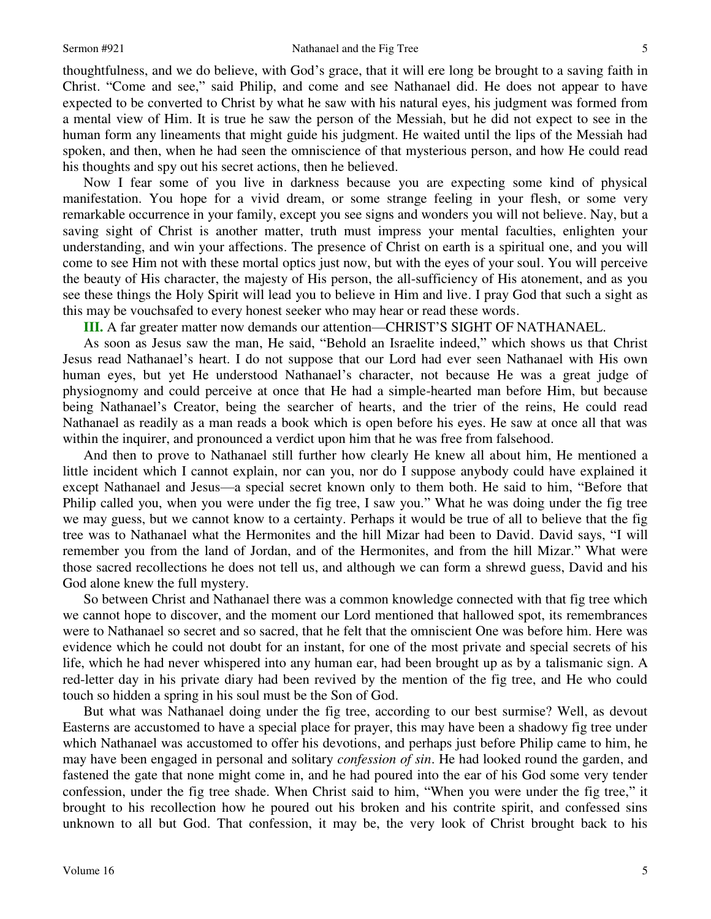thoughtfulness, and we do believe, with God's grace, that it will ere long be brought to a saving faith in Christ. "Come and see," said Philip, and come and see Nathanael did. He does not appear to have expected to be converted to Christ by what he saw with his natural eyes, his judgment was formed from a mental view of Him. It is true he saw the person of the Messiah, but he did not expect to see in the human form any lineaments that might guide his judgment. He waited until the lips of the Messiah had spoken, and then, when he had seen the omniscience of that mysterious person, and how He could read his thoughts and spy out his secret actions, then he believed.

Now I fear some of you live in darkness because you are expecting some kind of physical manifestation. You hope for a vivid dream, or some strange feeling in your flesh, or some very remarkable occurrence in your family, except you see signs and wonders you will not believe. Nay, but a saving sight of Christ is another matter, truth must impress your mental faculties, enlighten your understanding, and win your affections. The presence of Christ on earth is a spiritual one, and you will come to see Him not with these mortal optics just now, but with the eyes of your soul. You will perceive the beauty of His character, the majesty of His person, the all-sufficiency of His atonement, and as you see these things the Holy Spirit will lead you to believe in Him and live. I pray God that such a sight as this may be vouchsafed to every honest seeker who may hear or read these words.

**III.** A far greater matter now demands our attention—CHRIST'S SIGHT OF NATHANAEL.

As soon as Jesus saw the man, He said, "Behold an Israelite indeed," which shows us that Christ Jesus read Nathanael's heart. I do not suppose that our Lord had ever seen Nathanael with His own human eyes, but yet He understood Nathanael's character, not because He was a great judge of physiognomy and could perceive at once that He had a simple-hearted man before Him, but because being Nathanael's Creator, being the searcher of hearts, and the trier of the reins, He could read Nathanael as readily as a man reads a book which is open before his eyes. He saw at once all that was within the inquirer, and pronounced a verdict upon him that he was free from falsehood.

And then to prove to Nathanael still further how clearly He knew all about him, He mentioned a little incident which I cannot explain, nor can you, nor do I suppose anybody could have explained it except Nathanael and Jesus—a special secret known only to them both. He said to him, "Before that Philip called you, when you were under the fig tree, I saw you." What he was doing under the fig tree we may guess, but we cannot know to a certainty. Perhaps it would be true of all to believe that the fig tree was to Nathanael what the Hermonites and the hill Mizar had been to David. David says, "I will remember you from the land of Jordan, and of the Hermonites, and from the hill Mizar." What were those sacred recollections he does not tell us, and although we can form a shrewd guess, David and his God alone knew the full mystery.

So between Christ and Nathanael there was a common knowledge connected with that fig tree which we cannot hope to discover, and the moment our Lord mentioned that hallowed spot, its remembrances were to Nathanael so secret and so sacred, that he felt that the omniscient One was before him. Here was evidence which he could not doubt for an instant, for one of the most private and special secrets of his life, which he had never whispered into any human ear, had been brought up as by a talismanic sign. A red-letter day in his private diary had been revived by the mention of the fig tree, and He who could touch so hidden a spring in his soul must be the Son of God.

But what was Nathanael doing under the fig tree, according to our best surmise? Well, as devout Easterns are accustomed to have a special place for prayer, this may have been a shadowy fig tree under which Nathanael was accustomed to offer his devotions, and perhaps just before Philip came to him, he may have been engaged in personal and solitary *confession of sin*. He had looked round the garden, and fastened the gate that none might come in, and he had poured into the ear of his God some very tender confession, under the fig tree shade. When Christ said to him, "When you were under the fig tree," it brought to his recollection how he poured out his broken and his contrite spirit, and confessed sins unknown to all but God. That confession, it may be, the very look of Christ brought back to his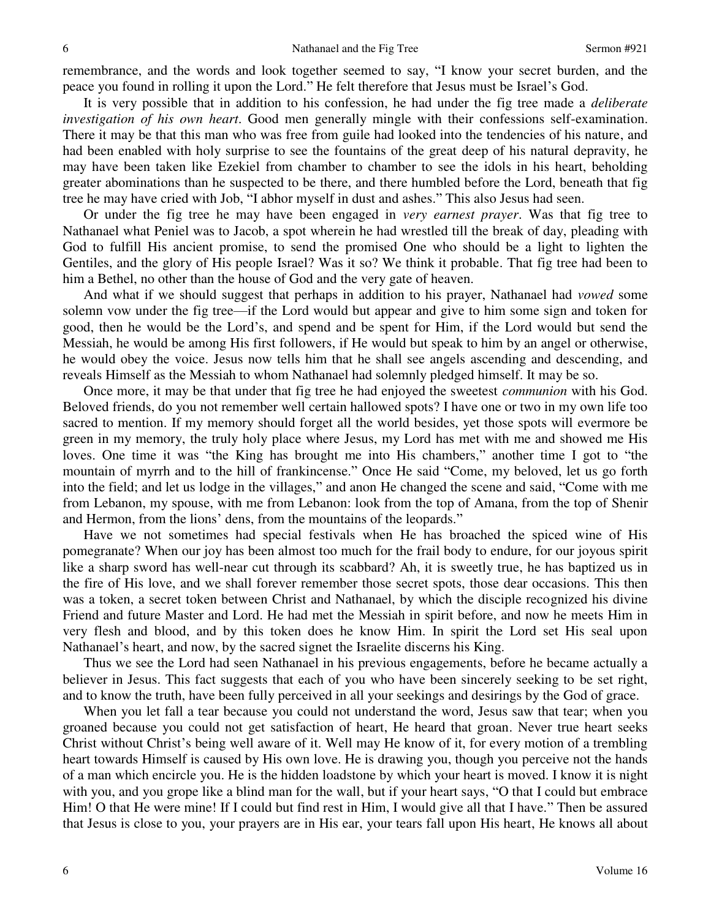remembrance, and the words and look together seemed to say, "I know your secret burden, and the peace you found in rolling it upon the Lord." He felt therefore that Jesus must be Israel's God.

It is very possible that in addition to his confession, he had under the fig tree made a *deliberate investigation of his own heart*. Good men generally mingle with their confessions self-examination. There it may be that this man who was free from guile had looked into the tendencies of his nature, and had been enabled with holy surprise to see the fountains of the great deep of his natural depravity, he may have been taken like Ezekiel from chamber to chamber to see the idols in his heart, beholding greater abominations than he suspected to be there, and there humbled before the Lord, beneath that fig tree he may have cried with Job, "I abhor myself in dust and ashes." This also Jesus had seen.

Or under the fig tree he may have been engaged in *very earnest prayer*. Was that fig tree to Nathanael what Peniel was to Jacob, a spot wherein he had wrestled till the break of day, pleading with God to fulfill His ancient promise, to send the promised One who should be a light to lighten the Gentiles, and the glory of His people Israel? Was it so? We think it probable. That fig tree had been to him a Bethel, no other than the house of God and the very gate of heaven.

And what if we should suggest that perhaps in addition to his prayer, Nathanael had *vowed* some solemn vow under the fig tree—if the Lord would but appear and give to him some sign and token for good, then he would be the Lord's, and spend and be spent for Him, if the Lord would but send the Messiah, he would be among His first followers, if He would but speak to him by an angel or otherwise, he would obey the voice. Jesus now tells him that he shall see angels ascending and descending, and reveals Himself as the Messiah to whom Nathanael had solemnly pledged himself. It may be so.

Once more, it may be that under that fig tree he had enjoyed the sweetest *communion* with his God. Beloved friends, do you not remember well certain hallowed spots? I have one or two in my own life too sacred to mention. If my memory should forget all the world besides, yet those spots will evermore be green in my memory, the truly holy place where Jesus, my Lord has met with me and showed me His loves. One time it was "the King has brought me into His chambers," another time I got to "the mountain of myrrh and to the hill of frankincense." Once He said "Come, my beloved, let us go forth into the field; and let us lodge in the villages," and anon He changed the scene and said, "Come with me from Lebanon, my spouse, with me from Lebanon: look from the top of Amana, from the top of Shenir and Hermon, from the lions' dens, from the mountains of the leopards."

Have we not sometimes had special festivals when He has broached the spiced wine of His pomegranate? When our joy has been almost too much for the frail body to endure, for our joyous spirit like a sharp sword has well-near cut through its scabbard? Ah, it is sweetly true, he has baptized us in the fire of His love, and we shall forever remember those secret spots, those dear occasions. This then was a token, a secret token between Christ and Nathanael, by which the disciple recognized his divine Friend and future Master and Lord. He had met the Messiah in spirit before, and now he meets Him in very flesh and blood, and by this token does he know Him. In spirit the Lord set His seal upon Nathanael's heart, and now, by the sacred signet the Israelite discerns his King.

Thus we see the Lord had seen Nathanael in his previous engagements, before he became actually a believer in Jesus. This fact suggests that each of you who have been sincerely seeking to be set right, and to know the truth, have been fully perceived in all your seekings and desirings by the God of grace.

When you let fall a tear because you could not understand the word, Jesus saw that tear; when you groaned because you could not get satisfaction of heart, He heard that groan. Never true heart seeks Christ without Christ's being well aware of it. Well may He know of it, for every motion of a trembling heart towards Himself is caused by His own love. He is drawing you, though you perceive not the hands of a man which encircle you. He is the hidden loadstone by which your heart is moved. I know it is night with you, and you grope like a blind man for the wall, but if your heart says, "O that I could but embrace Him! O that He were mine! If I could but find rest in Him, I would give all that I have." Then be assured that Jesus is close to you, your prayers are in His ear, your tears fall upon His heart, He knows all about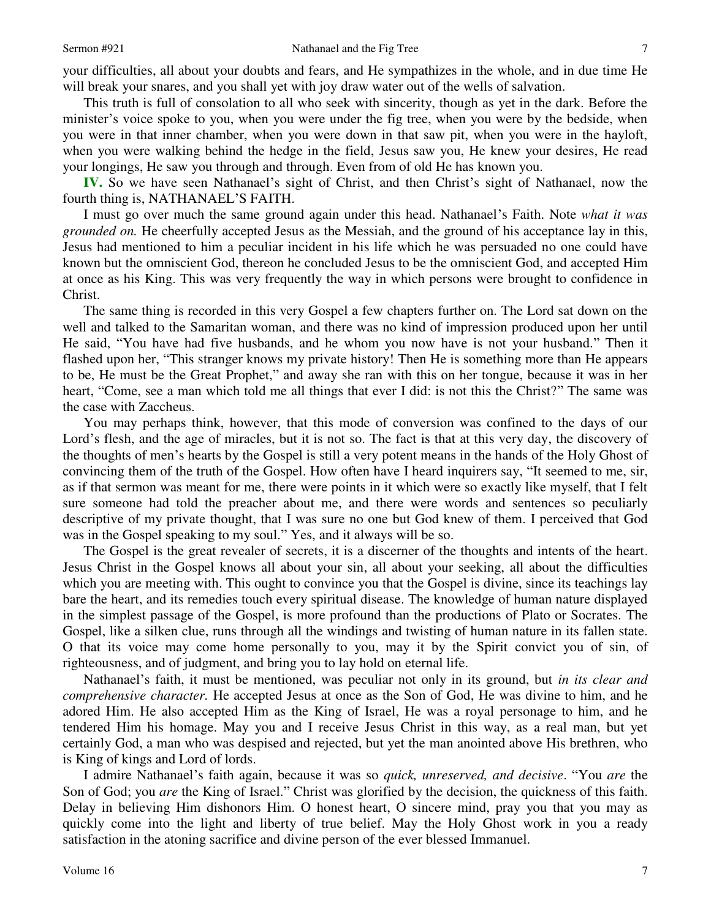your difficulties, all about your doubts and fears, and He sympathizes in the whole, and in due time He will break your snares, and you shall yet with joy draw water out of the wells of salvation.

This truth is full of consolation to all who seek with sincerity, though as yet in the dark. Before the minister's voice spoke to you, when you were under the fig tree, when you were by the bedside, when you were in that inner chamber, when you were down in that saw pit, when you were in the hayloft, when you were walking behind the hedge in the field, Jesus saw you, He knew your desires, He read your longings, He saw you through and through. Even from of old He has known you.

**IV.** So we have seen Nathanael's sight of Christ, and then Christ's sight of Nathanael, now the fourth thing is, NATHANAEL'S FAITH.

I must go over much the same ground again under this head. Nathanael's Faith. Note *what it was grounded on.* He cheerfully accepted Jesus as the Messiah, and the ground of his acceptance lay in this, Jesus had mentioned to him a peculiar incident in his life which he was persuaded no one could have known but the omniscient God, thereon he concluded Jesus to be the omniscient God, and accepted Him at once as his King. This was very frequently the way in which persons were brought to confidence in Christ.

The same thing is recorded in this very Gospel a few chapters further on. The Lord sat down on the well and talked to the Samaritan woman, and there was no kind of impression produced upon her until He said, "You have had five husbands, and he whom you now have is not your husband." Then it flashed upon her, "This stranger knows my private history! Then He is something more than He appears to be, He must be the Great Prophet," and away she ran with this on her tongue, because it was in her heart, "Come, see a man which told me all things that ever I did: is not this the Christ?" The same was the case with Zaccheus.

You may perhaps think, however, that this mode of conversion was confined to the days of our Lord's flesh, and the age of miracles, but it is not so. The fact is that at this very day, the discovery of the thoughts of men's hearts by the Gospel is still a very potent means in the hands of the Holy Ghost of convincing them of the truth of the Gospel. How often have I heard inquirers say, "It seemed to me, sir, as if that sermon was meant for me, there were points in it which were so exactly like myself, that I felt sure someone had told the preacher about me, and there were words and sentences so peculiarly descriptive of my private thought, that I was sure no one but God knew of them. I perceived that God was in the Gospel speaking to my soul." Yes, and it always will be so.

The Gospel is the great revealer of secrets, it is a discerner of the thoughts and intents of the heart. Jesus Christ in the Gospel knows all about your sin, all about your seeking, all about the difficulties which you are meeting with. This ought to convince you that the Gospel is divine, since its teachings lay bare the heart, and its remedies touch every spiritual disease. The knowledge of human nature displayed in the simplest passage of the Gospel, is more profound than the productions of Plato or Socrates. The Gospel, like a silken clue, runs through all the windings and twisting of human nature in its fallen state. O that its voice may come home personally to you, may it by the Spirit convict you of sin, of righteousness, and of judgment, and bring you to lay hold on eternal life.

Nathanael's faith, it must be mentioned, was peculiar not only in its ground, but *in its clear and comprehensive character.* He accepted Jesus at once as the Son of God, He was divine to him, and he adored Him. He also accepted Him as the King of Israel, He was a royal personage to him, and he tendered Him his homage. May you and I receive Jesus Christ in this way, as a real man, but yet certainly God, a man who was despised and rejected, but yet the man anointed above His brethren, who is King of kings and Lord of lords.

I admire Nathanael's faith again, because it was so *quick, unreserved, and decisive*. "You *are* the Son of God; you *are* the King of Israel." Christ was glorified by the decision, the quickness of this faith. Delay in believing Him dishonors Him. O honest heart, O sincere mind, pray you that you may as quickly come into the light and liberty of true belief. May the Holy Ghost work in you a ready satisfaction in the atoning sacrifice and divine person of the ever blessed Immanuel.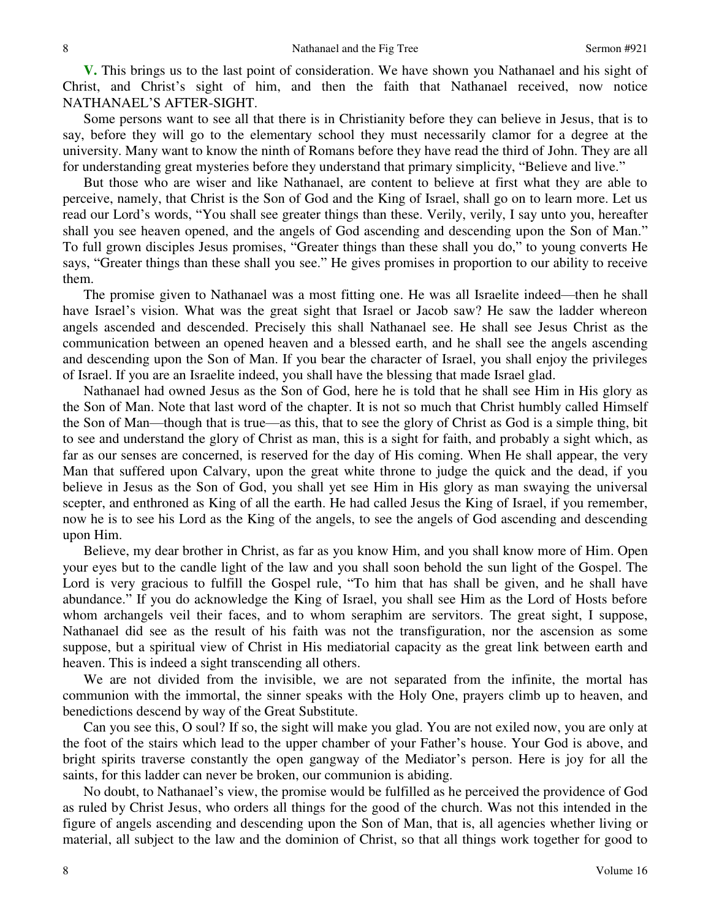**V.** This brings us to the last point of consideration. We have shown you Nathanael and his sight of Christ, and Christ's sight of him, and then the faith that Nathanael received, now notice NATHANAEL'S AFTER-SIGHT.

Some persons want to see all that there is in Christianity before they can believe in Jesus, that is to say, before they will go to the elementary school they must necessarily clamor for a degree at the university. Many want to know the ninth of Romans before they have read the third of John. They are all for understanding great mysteries before they understand that primary simplicity, "Believe and live."

But those who are wiser and like Nathanael, are content to believe at first what they are able to perceive, namely, that Christ is the Son of God and the King of Israel, shall go on to learn more. Let us read our Lord's words, "You shall see greater things than these. Verily, verily, I say unto you, hereafter shall you see heaven opened, and the angels of God ascending and descending upon the Son of Man." To full grown disciples Jesus promises, "Greater things than these shall you do," to young converts He says, "Greater things than these shall you see." He gives promises in proportion to our ability to receive them.

The promise given to Nathanael was a most fitting one. He was all Israelite indeed—then he shall have Israel's vision. What was the great sight that Israel or Jacob saw? He saw the ladder whereon angels ascended and descended. Precisely this shall Nathanael see. He shall see Jesus Christ as the communication between an opened heaven and a blessed earth, and he shall see the angels ascending and descending upon the Son of Man. If you bear the character of Israel, you shall enjoy the privileges of Israel. If you are an Israelite indeed, you shall have the blessing that made Israel glad.

Nathanael had owned Jesus as the Son of God, here he is told that he shall see Him in His glory as the Son of Man. Note that last word of the chapter. It is not so much that Christ humbly called Himself the Son of Man—though that is true—as this, that to see the glory of Christ as God is a simple thing, bit to see and understand the glory of Christ as man, this is a sight for faith, and probably a sight which, as far as our senses are concerned, is reserved for the day of His coming. When He shall appear, the very Man that suffered upon Calvary, upon the great white throne to judge the quick and the dead, if you believe in Jesus as the Son of God, you shall yet see Him in His glory as man swaying the universal scepter, and enthroned as King of all the earth. He had called Jesus the King of Israel, if you remember, now he is to see his Lord as the King of the angels, to see the angels of God ascending and descending upon Him.

Believe, my dear brother in Christ, as far as you know Him, and you shall know more of Him. Open your eyes but to the candle light of the law and you shall soon behold the sun light of the Gospel. The Lord is very gracious to fulfill the Gospel rule, "To him that has shall be given, and he shall have abundance." If you do acknowledge the King of Israel, you shall see Him as the Lord of Hosts before whom archangels veil their faces, and to whom seraphim are servitors. The great sight, I suppose, Nathanael did see as the result of his faith was not the transfiguration, nor the ascension as some suppose, but a spiritual view of Christ in His mediatorial capacity as the great link between earth and heaven. This is indeed a sight transcending all others.

We are not divided from the invisible, we are not separated from the infinite, the mortal has communion with the immortal, the sinner speaks with the Holy One, prayers climb up to heaven, and benedictions descend by way of the Great Substitute.

Can you see this, O soul? If so, the sight will make you glad. You are not exiled now, you are only at the foot of the stairs which lead to the upper chamber of your Father's house. Your God is above, and bright spirits traverse constantly the open gangway of the Mediator's person. Here is joy for all the saints, for this ladder can never be broken, our communion is abiding.

No doubt, to Nathanael's view, the promise would be fulfilled as he perceived the providence of God as ruled by Christ Jesus, who orders all things for the good of the church. Was not this intended in the figure of angels ascending and descending upon the Son of Man, that is, all agencies whether living or material, all subject to the law and the dominion of Christ, so that all things work together for good to